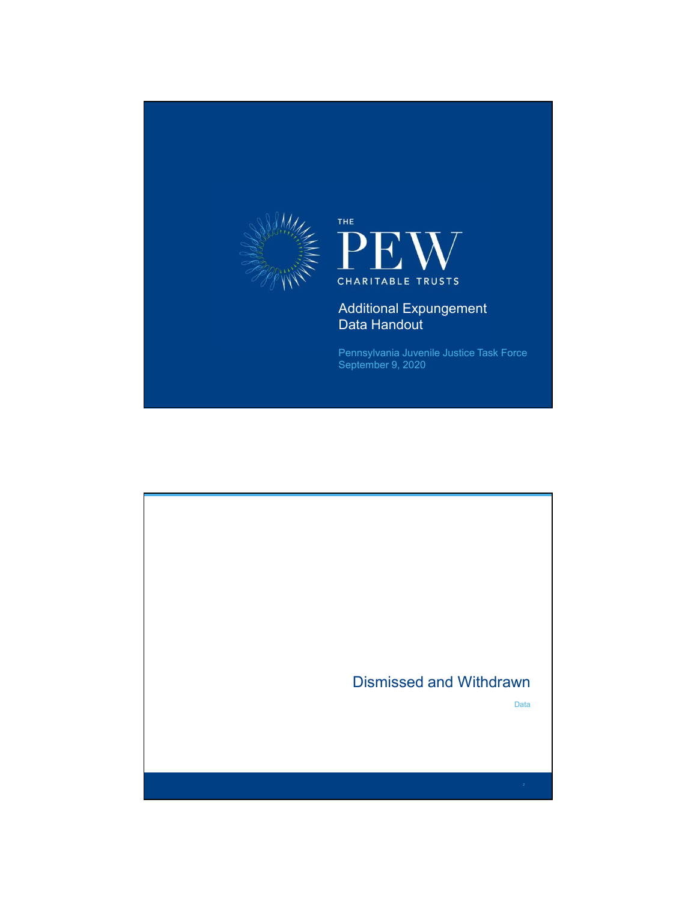

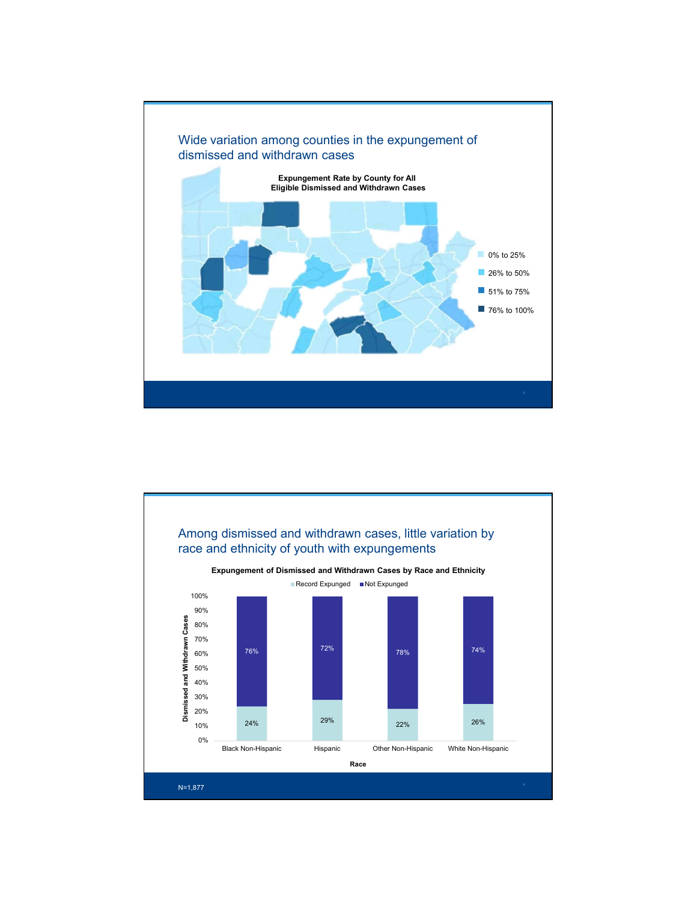

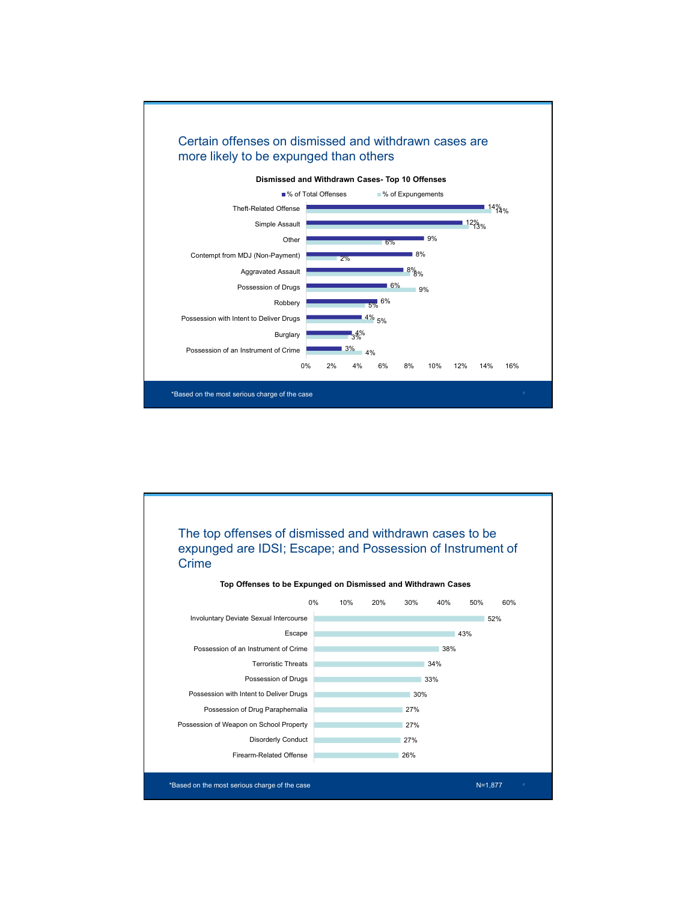

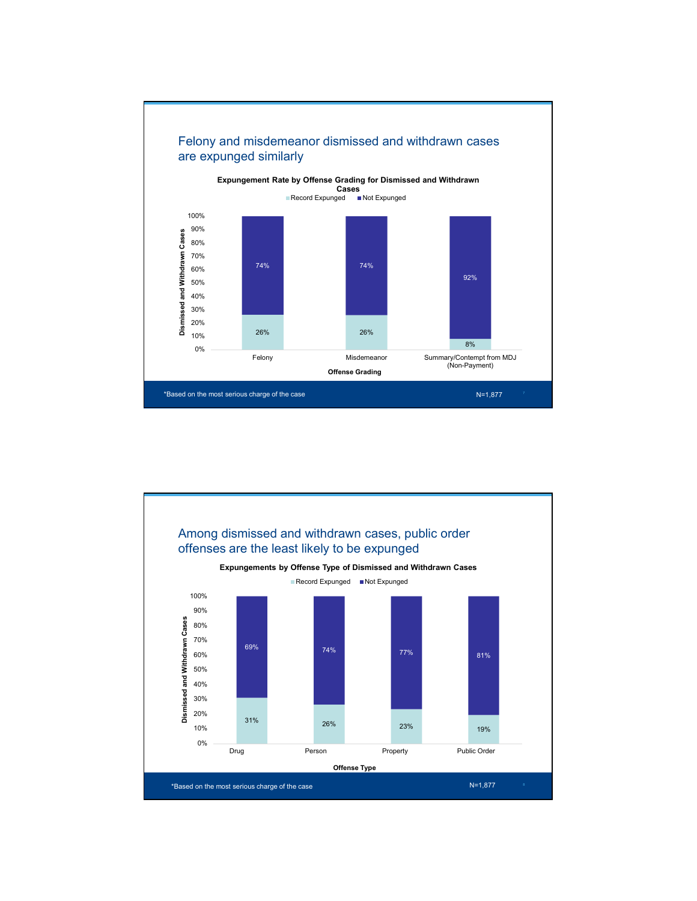

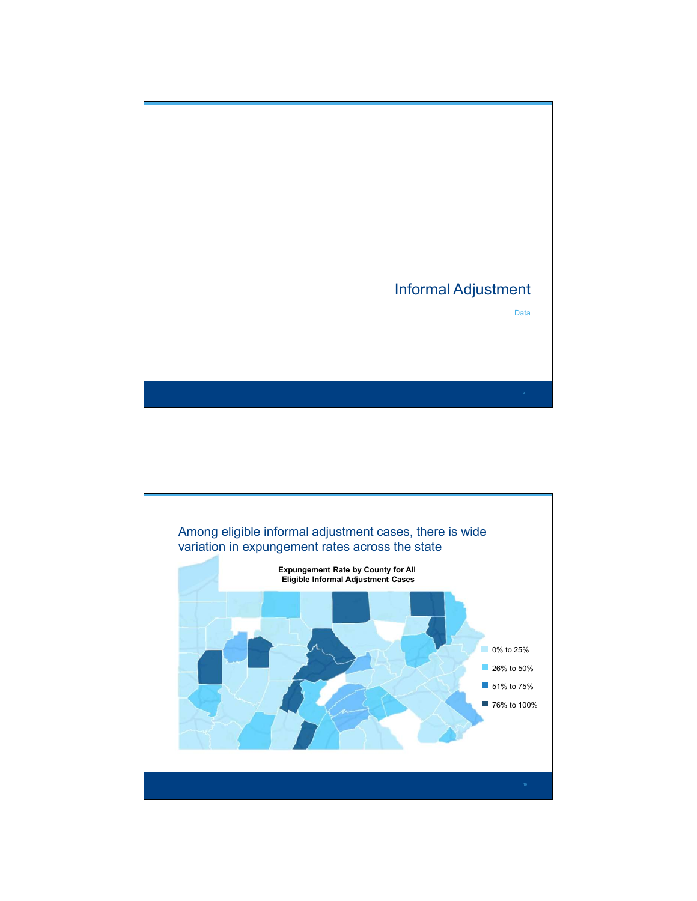

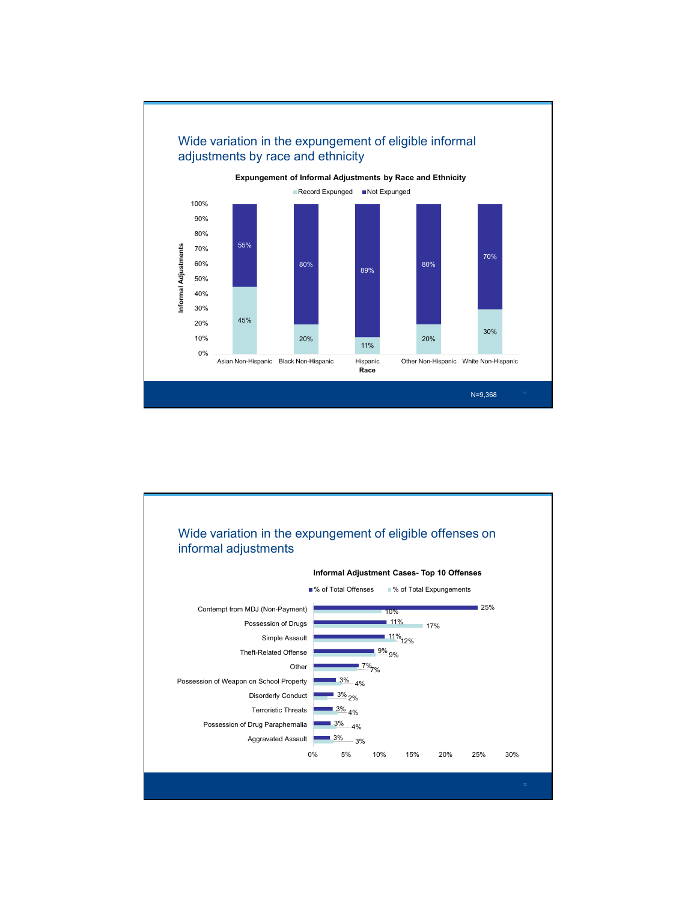

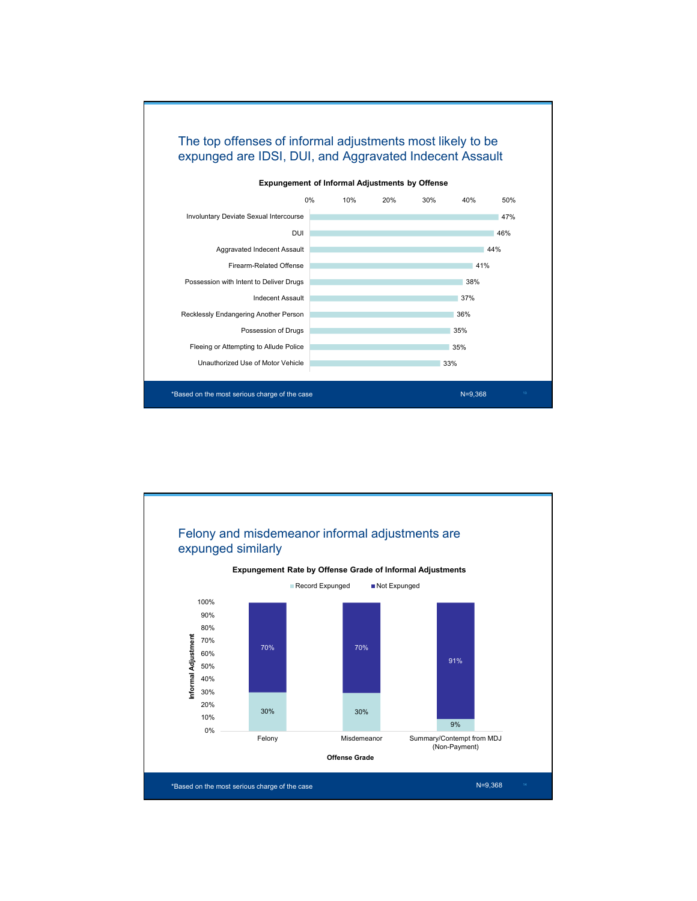

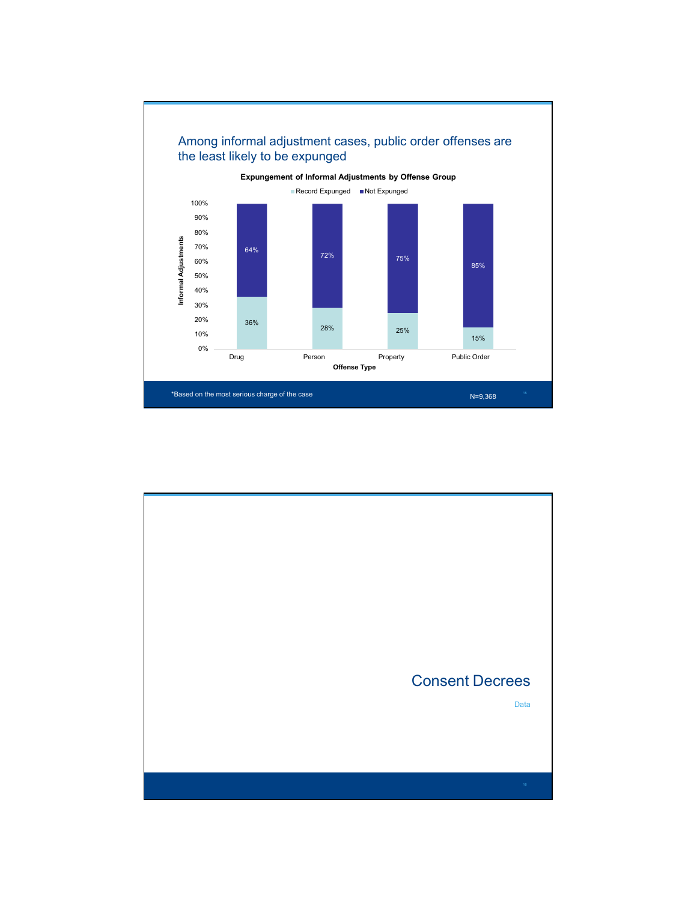

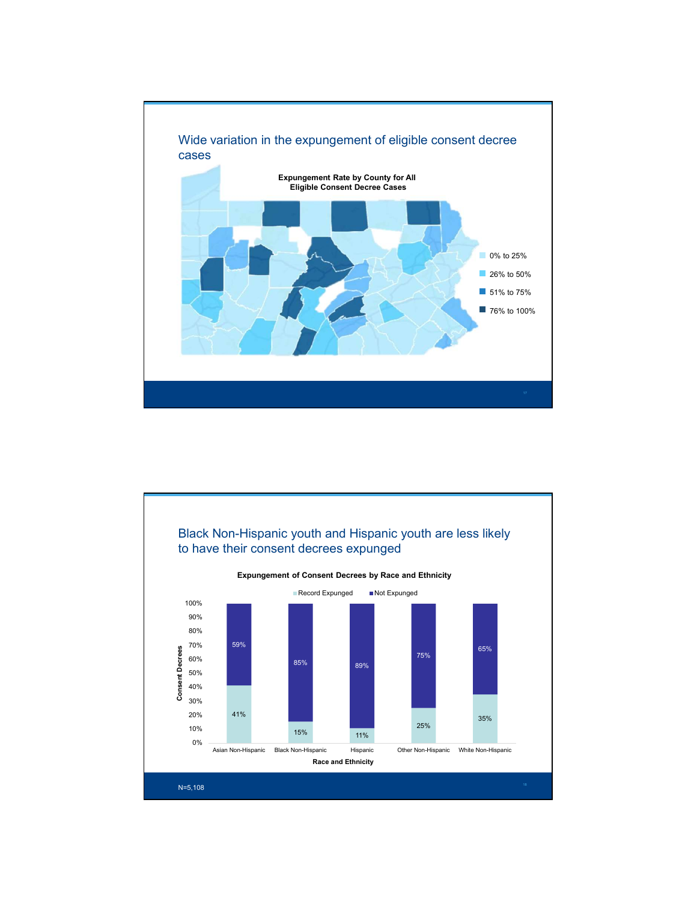

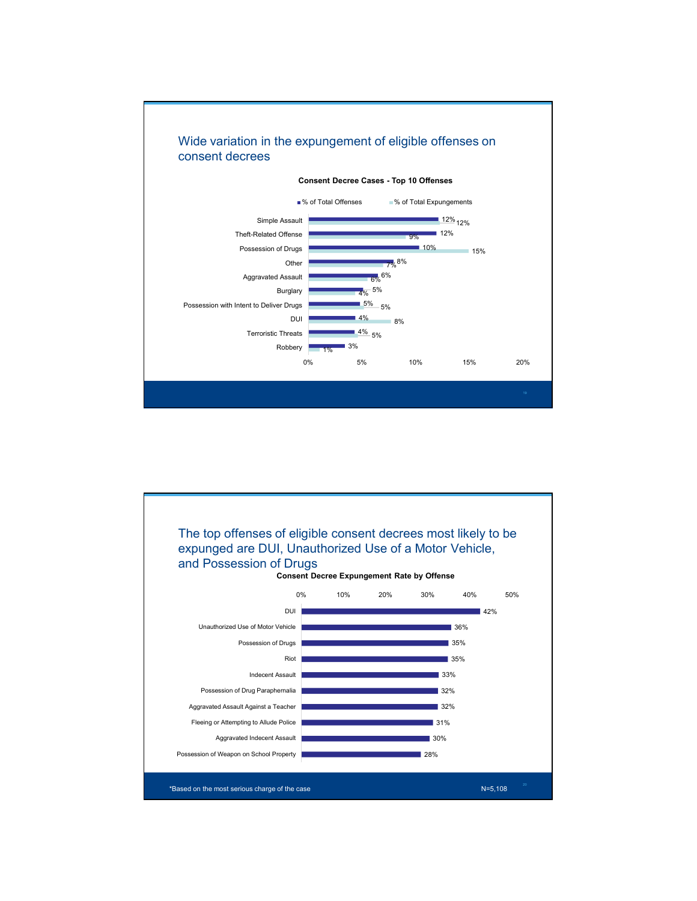

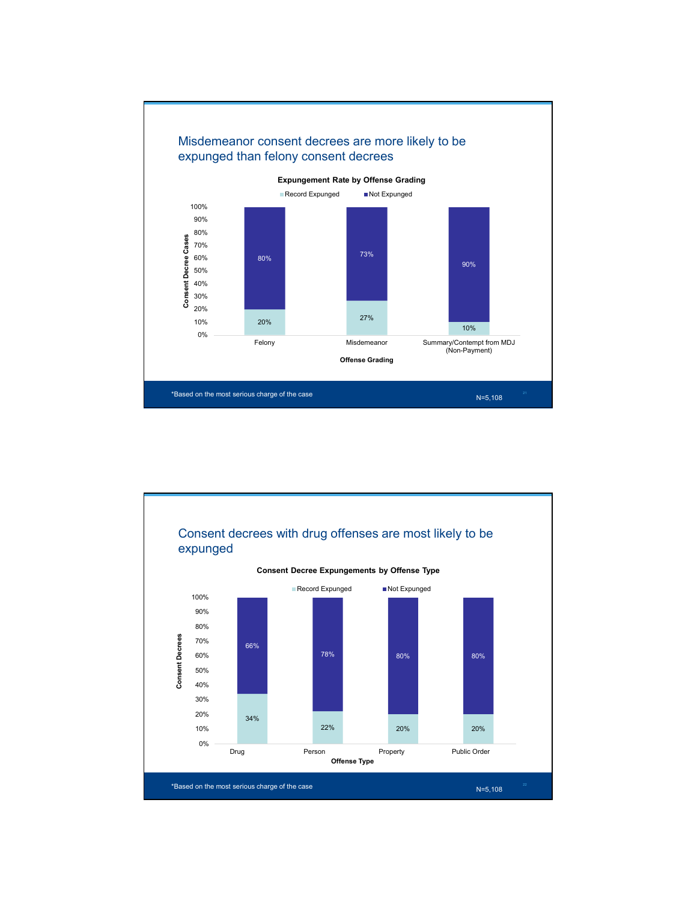

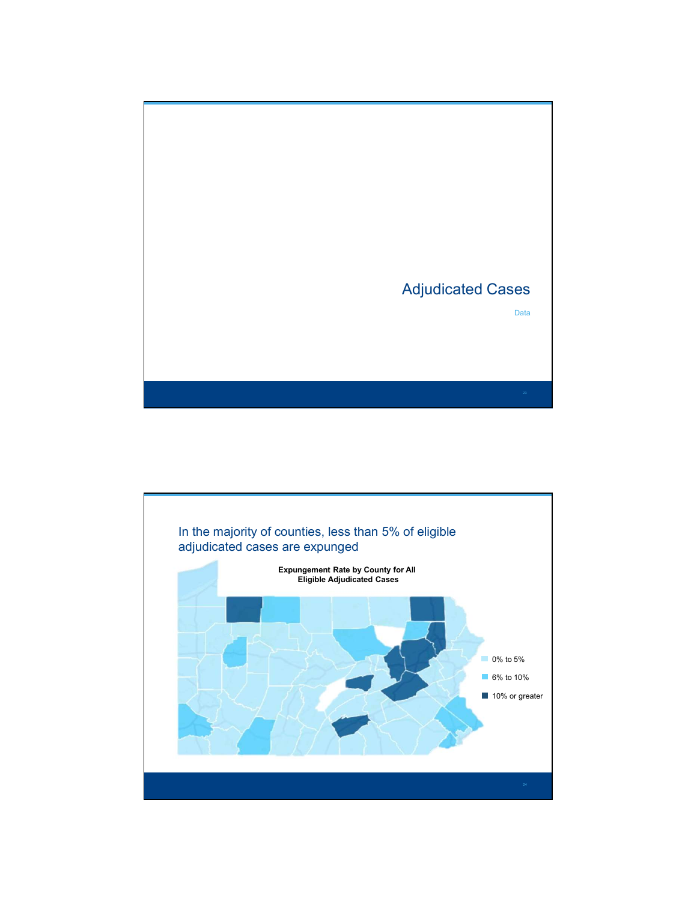

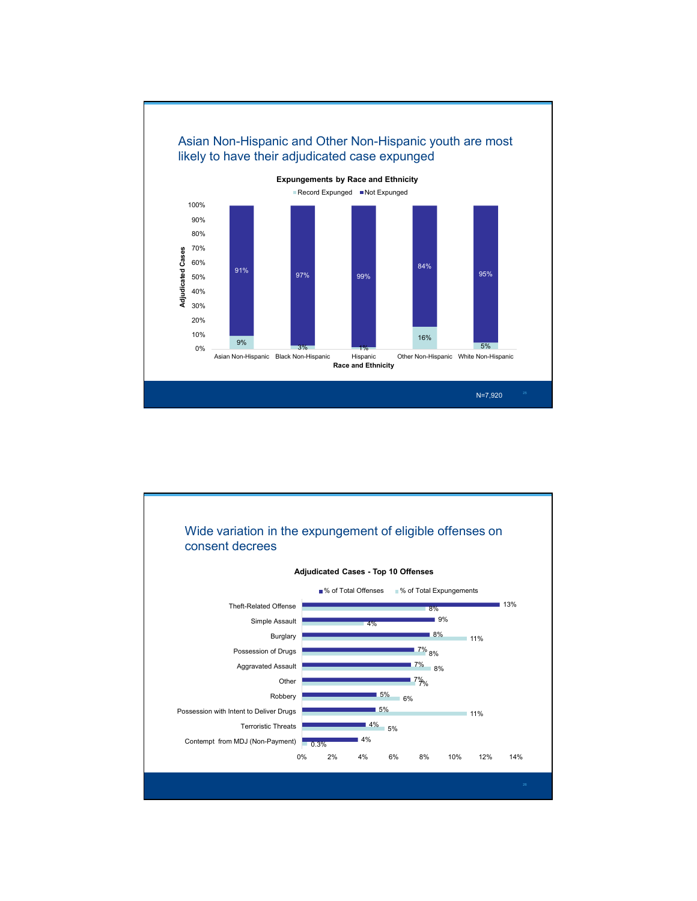

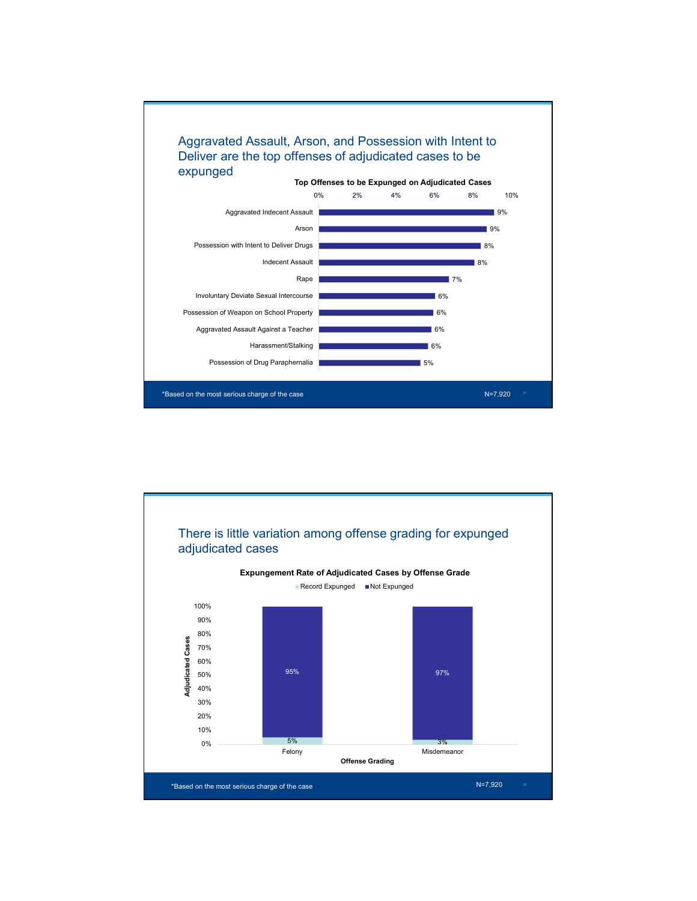